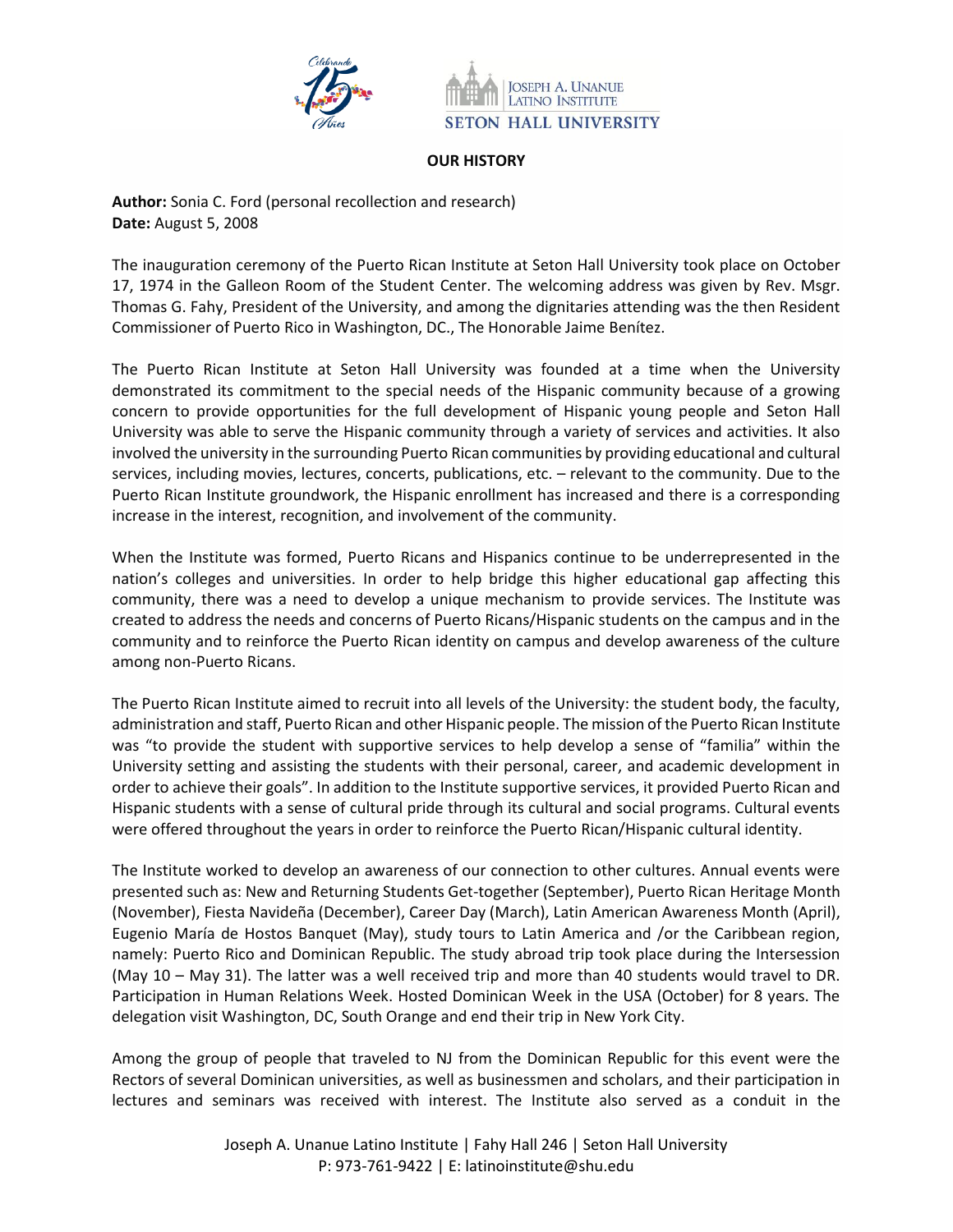



## **OUR HISTORY**

**Author:** Sonia C. Ford (personal recollection and research) **Date:** August 5, 2008

The inauguration ceremony of the Puerto Rican Institute at Seton Hall University took place on October 17, 1974 in the Galleon Room of the Student Center. The welcoming address was given by Rev. Msgr. Thomas G. Fahy, President of the University, and among the dignitaries attending was the then Resident Commissioner of Puerto Rico in Washington, DC., The Honorable Jaime Benítez.

The Puerto Rican Institute at Seton Hall University was founded at a time when the University demonstrated its commitment to the special needs of the Hispanic community because of a growing concern to provide opportunities for the full development of Hispanic young people and Seton Hall University was able to serve the Hispanic community through a variety of services and activities. It also involved the university in the surrounding Puerto Rican communities by providing educational and cultural services, including movies, lectures, concerts, publications, etc. – relevant to the community. Due to the Puerto Rican Institute groundwork, the Hispanic enrollment has increased and there is a corresponding increase in the interest, recognition, and involvement of the community.

When the Institute was formed, Puerto Ricans and Hispanics continue to be underrepresented in the nation's colleges and universities. In order to help bridge this higher educational gap affecting this community, there was a need to develop a unique mechanism to provide services. The Institute was created to address the needs and concerns of Puerto Ricans/Hispanic students on the campus and in the community and to reinforce the Puerto Rican identity on campus and develop awareness of the culture among non-Puerto Ricans.

The Puerto Rican Institute aimed to recruit into all levels of the University: the student body, the faculty, administration and staff, Puerto Rican and other Hispanic people. The mission of the Puerto Rican Institute was "to provide the student with supportive services to help develop a sense of "familia" within the University setting and assisting the students with their personal, career, and academic development in order to achieve their goals". In addition to the Institute supportive services, it provided Puerto Rican and Hispanic students with a sense of cultural pride through its cultural and social programs. Cultural events were offered throughout the years in order to reinforce the Puerto Rican/Hispanic cultural identity.

The Institute worked to develop an awareness of our connection to other cultures. Annual events were presented such as: New and Returning Students Get-together (September), Puerto Rican Heritage Month (November), Fiesta Navideña (December), Career Day (March), Latin American Awareness Month (April), Eugenio María de Hostos Banquet (May), study tours to Latin America and /or the Caribbean region, namely: Puerto Rico and Dominican Republic. The study abroad trip took place during the Intersession (May 10 – May 31). The latter was a well received trip and more than 40 students would travel to DR. Participation in Human Relations Week. Hosted Dominican Week in the USA (October) for 8 years. The delegation visit Washington, DC, South Orange and end their trip in New York City.

Among the group of people that traveled to NJ from the Dominican Republic for this event were the Rectors of several Dominican universities, as well as businessmen and scholars, and their participation in lectures and seminars was received with interest. The Institute also served as a conduit in the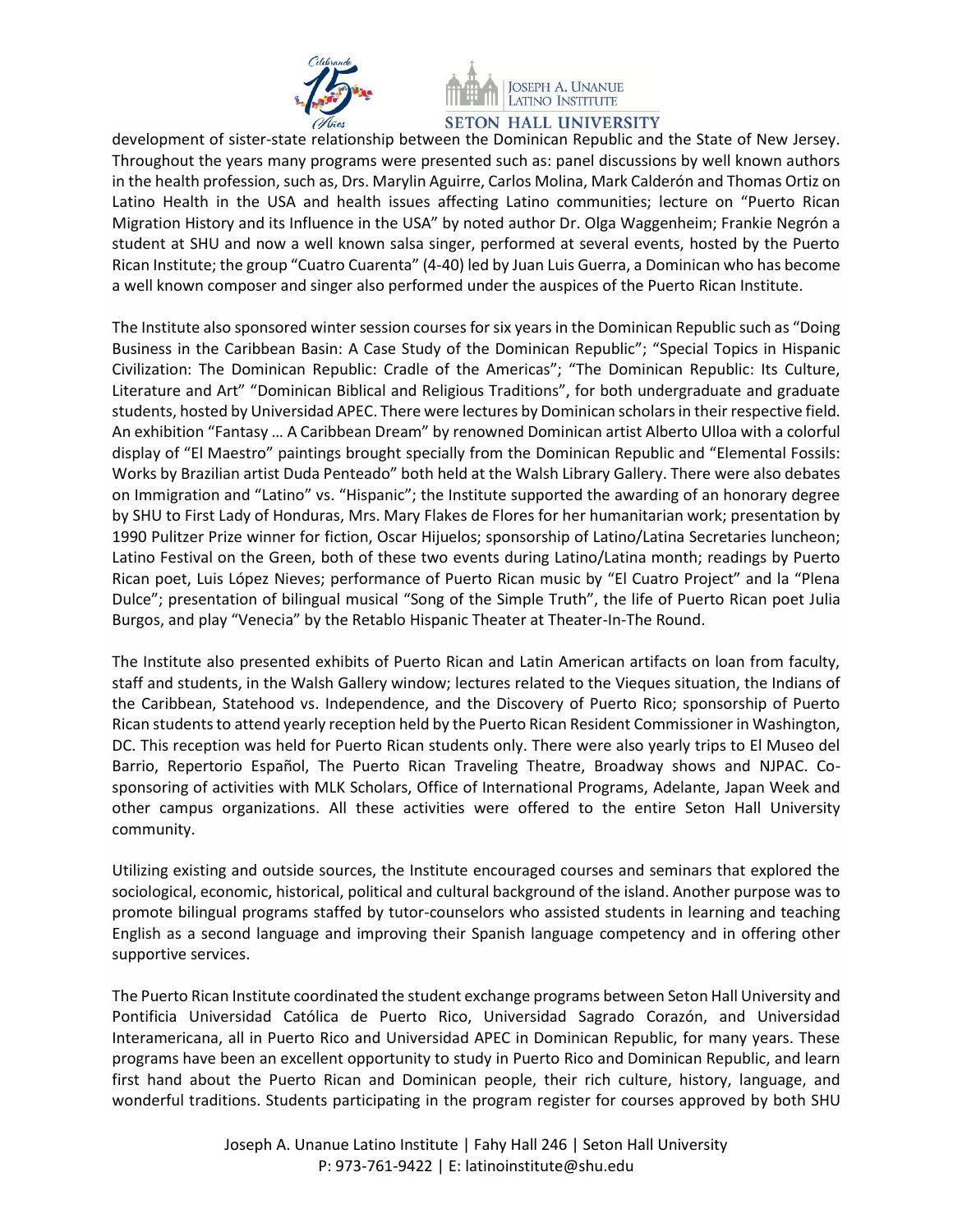



development of sister-state relationship between the Dominican Republic and the State of New Jersey. Throughout the years many programs were presented such as: panel discussions by well known authors in the health profession, such as, Drs. Marylin Aguirre, Carlos Molina, Mark Calderón and Thomas Ortiz on Latino Health in the USA and health issues affecting Latino communities; lecture on "Puerto Rican Migration History and its Influence in the USA" by noted author Dr. Olga Waggenheim; Frankie Negrón a student at SHU and now a well known salsa singer, performed at several events, hosted by the Puerto Rican Institute; the group "Cuatro Cuarenta" (4-40) led by Juan Luis Guerra, a Dominican who has become a well known composer and singer also performed under the auspices of the Puerto Rican Institute.

The Institute also sponsored winter session courses for six years in the Dominican Republic such as "Doing Business in the Caribbean Basin: A Case Study of the Dominican Republic"; "Special Topics in Hispanic Civilization: The Dominican Republic: Cradle of the Americas"; "The Dominican Republic: Its Culture, Literature and Art" "Dominican Biblical and Religious Traditions", for both undergraduate and graduate students, hosted by Universidad APEC. There were lectures by Dominican scholars in their respective field. An exhibition "Fantasy … A Caribbean Dream" by renowned Dominican artist Alberto Ulloa with a colorful display of "El Maestro" paintings brought specially from the Dominican Republic and "Elemental Fossils: Works by Brazilian artist Duda Penteado" both held at the Walsh Library Gallery. There were also debates on Immigration and "Latino" vs. "Hispanic"; the Institute supported the awarding of an honorary degree by SHU to First Lady of Honduras, Mrs. Mary Flakes de Flores for her humanitarian work; presentation by 1990 Pulitzer Prize winner for fiction, Oscar Hijuelos; sponsorship of Latino/Latina Secretaries luncheon; Latino Festival on the Green, both of these two events during Latino/Latina month; readings by Puerto Rican poet, Luis López Nieves; performance of Puerto Rican music by "El Cuatro Project" and la "Plena Dulce"; presentation of bilingual musical "Song of the Simple Truth", the life of Puerto Rican poet Julia Burgos, and play "Venecia" by the Retablo Hispanic Theater at Theater-In-The Round.

The Institute also presented exhibits of Puerto Rican and Latin American artifacts on loan from faculty, staff and students, in the Walsh Gallery window; lectures related to the Vieques situation, the Indians of the Caribbean, Statehood vs. Independence, and the Discovery of Puerto Rico; sponsorship of Puerto Rican students to attend yearly reception held by the Puerto Rican Resident Commissioner in Washington, DC. This reception was held for Puerto Rican students only. There were also yearly trips to El Museo del Barrio, Repertorio Español, The Puerto Rican Traveling Theatre, Broadway shows and NJPAC. Cosponsoring of activities with MLK Scholars, Office of International Programs, Adelante, Japan Week and other campus organizations. All these activities were offered to the entire Seton Hall University community.

Utilizing existing and outside sources, the Institute encouraged courses and seminars that explored the sociological, economic, historical, political and cultural background of the island. Another purpose was to promote bilingual programs staffed by tutor-counselors who assisted students in learning and teaching English as a second language and improving their Spanish language competency and in offering other supportive services.

The Puerto Rican Institute coordinated the student exchange programs between Seton Hall University and Pontificia Universidad Católica de Puerto Rico, Universidad Sagrado Corazón, and Universidad Interamericana, all in Puerto Rico and Universidad APEC in Dominican Republic, for many years. These programs have been an excellent opportunity to study in Puerto Rico and Dominican Republic, and learn first hand about the Puerto Rican and Dominican people, their rich culture, history, language, and wonderful traditions. Students participating in the program register for courses approved by both SHU